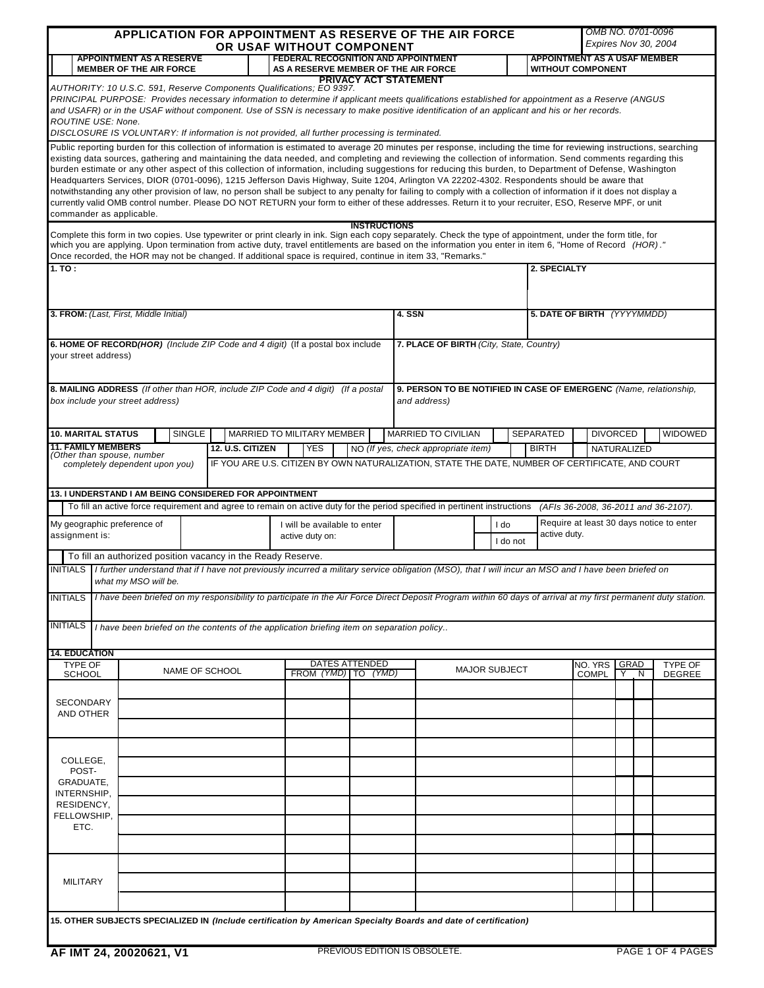| APPLICATION FOR APPOINTMENT AS RESERVE OF THE AIR FORCE<br>OR USAF WITHOUT COMPONENT                                                                                                                 |                                                                                                                                                               |        |                                                                                                                                                                                                                                                                                                                                                                                                                                                                                                                                                                                                                                                                                                                                                                                                                                                                                                                                                                                       |  |                            | OMB NO. 0701-0096<br>Expires Nov 30, 2004 |                                                                              |                            |                      |  |  |              |                                     |                 |   |                                                                   |
|------------------------------------------------------------------------------------------------------------------------------------------------------------------------------------------------------|---------------------------------------------------------------------------------------------------------------------------------------------------------------|--------|---------------------------------------------------------------------------------------------------------------------------------------------------------------------------------------------------------------------------------------------------------------------------------------------------------------------------------------------------------------------------------------------------------------------------------------------------------------------------------------------------------------------------------------------------------------------------------------------------------------------------------------------------------------------------------------------------------------------------------------------------------------------------------------------------------------------------------------------------------------------------------------------------------------------------------------------------------------------------------------|--|----------------------------|-------------------------------------------|------------------------------------------------------------------------------|----------------------------|----------------------|--|--|--------------|-------------------------------------|-----------------|---|-------------------------------------------------------------------|
|                                                                                                                                                                                                      | <b>APPOINTMENT AS A RESERVE</b><br><b>FEDERAL RECOGNITION AND APPOINTMENT</b>                                                                                 |        |                                                                                                                                                                                                                                                                                                                                                                                                                                                                                                                                                                                                                                                                                                                                                                                                                                                                                                                                                                                       |  |                            |                                           |                                                                              |                            |                      |  |  |              | <b>APPOINTMENT AS A USAF MEMBER</b> |                 |   |                                                                   |
| <b>MEMBER OF THE AIR FORCE</b><br>AS A RESERVE MEMBER OF THE AIR FORCE<br><b>WITHOUT COMPONENT</b><br>PRIVACY ACT STATEMENT<br>AUTHORITY: 10 U.S.C. 591, Reserve Components Qualifications; EO 9397. |                                                                                                                                                               |        |                                                                                                                                                                                                                                                                                                                                                                                                                                                                                                                                                                                                                                                                                                                                                                                                                                                                                                                                                                                       |  |                            |                                           |                                                                              |                            |                      |  |  |              |                                     |                 |   |                                                                   |
| ROUTINE USE: None.                                                                                                                                                                                   |                                                                                                                                                               |        | PRINCIPAL PURPOSE: Provides necessary information to determine if applicant meets qualifications established for appointment as a Reserve (ANGUS<br>and USAFR) or in the USAF without component. Use of SSN is necessary to make positive identification of an applicant and his or her records.<br>DISCLOSURE IS VOLUNTARY: If information is not provided, all further processing is terminated.                                                                                                                                                                                                                                                                                                                                                                                                                                                                                                                                                                                    |  |                            |                                           |                                                                              |                            |                      |  |  |              |                                     |                 |   |                                                                   |
| commander as applicable.                                                                                                                                                                             |                                                                                                                                                               |        | Public reporting burden for this collection of information is estimated to average 20 minutes per response, including the time for reviewing instructions, searching<br>existing data sources, gathering and maintaining the data needed, and completing and reviewing the collection of information. Send comments regarding this<br>burden estimate or any other aspect of this collection of information, including suggestions for reducing this burden, to Department of Defense, Washington<br>Headquarters Services, DIOR (0701-0096), 1215 Jefferson Davis Highway, Suite 1204, Arlington VA 22202-4302. Respondents should be aware that<br>notwithstanding any other provision of law, no person shall be subject to any penalty for failing to comply with a collection of information if it does not display a<br>currently valid OMB control number. Please DO NOT RETURN your form to either of these addresses. Return it to your recruiter, ESO, Reserve MPF, or unit |  |                            |                                           |                                                                              |                            |                      |  |  |              |                                     |                 |   |                                                                   |
| 1.70:                                                                                                                                                                                                |                                                                                                                                                               |        | Complete this form in two copies. Use typewriter or print clearly in ink. Sign each copy separately. Check the type of appointment, under the form title, for<br>which you are applying. Upon termination from active duty, travel entitlements are based on the information you enter in item 6, "Home of Record (HOR)."<br>Once recorded, the HOR may not be changed. If additional space is required, continue in item 33, "Remarks."                                                                                                                                                                                                                                                                                                                                                                                                                                                                                                                                              |  |                            | <b>INSTRUCTIONS</b>                       |                                                                              |                            |                      |  |  | 2. SPECIALTY |                                     |                 |   |                                                                   |
|                                                                                                                                                                                                      |                                                                                                                                                               |        |                                                                                                                                                                                                                                                                                                                                                                                                                                                                                                                                                                                                                                                                                                                                                                                                                                                                                                                                                                                       |  |                            |                                           |                                                                              |                            |                      |  |  |              |                                     |                 |   |                                                                   |
| 3. FROM: (Last, First, Middle Initial)                                                                                                                                                               |                                                                                                                                                               |        |                                                                                                                                                                                                                                                                                                                                                                                                                                                                                                                                                                                                                                                                                                                                                                                                                                                                                                                                                                                       |  |                            |                                           |                                                                              | 4. SSN                     |                      |  |  |              | 5. DATE OF BIRTH (YYYYMMDD)         |                 |   |                                                                   |
| 6. HOME OF RECORD(HOR) (Include ZIP Code and 4 digit) (If a postal box include<br>7. PLACE OF BIRTH (City, State, Country)<br>your street address)                                                   |                                                                                                                                                               |        |                                                                                                                                                                                                                                                                                                                                                                                                                                                                                                                                                                                                                                                                                                                                                                                                                                                                                                                                                                                       |  |                            |                                           |                                                                              |                            |                      |  |  |              |                                     |                 |   |                                                                   |
| box include your street address)                                                                                                                                                                     |                                                                                                                                                               |        | 8. MAILING ADDRESS (If other than HOR, include ZIP Code and 4 digit) (If a postal                                                                                                                                                                                                                                                                                                                                                                                                                                                                                                                                                                                                                                                                                                                                                                                                                                                                                                     |  |                            |                                           |                                                                              | and address)               |                      |  |  |              |                                     |                 |   | 9. PERSON TO BE NOTIFIED IN CASE OF EMERGENC (Name, relationship, |
| <b>10. MARITAL STATUS</b>                                                                                                                                                                            |                                                                                                                                                               | SINGLE |                                                                                                                                                                                                                                                                                                                                                                                                                                                                                                                                                                                                                                                                                                                                                                                                                                                                                                                                                                                       |  | MARRIED TO MILITARY MEMBER |                                           |                                                                              | <b>MARRIED TO CIVILIAN</b> |                      |  |  | SEPARATED    |                                     | <b>DIVORCED</b> |   | <b>WIDOWED</b>                                                    |
| <b>11. FAMILY MEMBERS</b><br>(Other than spouse, number                                                                                                                                              |                                                                                                                                                               |        | 12. U.S. CITIZEN                                                                                                                                                                                                                                                                                                                                                                                                                                                                                                                                                                                                                                                                                                                                                                                                                                                                                                                                                                      |  | <b>YES</b>                 |                                           | <b>BIRTH</b><br>NO (If yes, check appropriate item)<br>NATURALIZED           |                            |                      |  |  |              |                                     |                 |   |                                                                   |
|                                                                                                                                                                                                      | completely dependent upon you)                                                                                                                                |        | IF YOU ARE U.S. CITIZEN BY OWN NATURALIZATION, STATE THE DATE, NUMBER OF CERTIFICATE, AND COURT<br>13. I UNDERSTAND I AM BEING CONSIDERED FOR APPOINTMENT                                                                                                                                                                                                                                                                                                                                                                                                                                                                                                                                                                                                                                                                                                                                                                                                                             |  |                            |                                           |                                                                              |                            |                      |  |  |              |                                     |                 |   |                                                                   |
|                                                                                                                                                                                                      |                                                                                                                                                               |        | To fill an active force requirement and agree to remain on active duty for the period specified in pertinent instructions                                                                                                                                                                                                                                                                                                                                                                                                                                                                                                                                                                                                                                                                                                                                                                                                                                                             |  |                            |                                           |                                                                              |                            |                      |  |  |              |                                     |                 |   | (AFIs 36-2008, 36-2011 and 36-2107).                              |
| My geographic preference of<br>I will be available to enter<br>assignment is:<br>active duty on:                                                                                                     |                                                                                                                                                               |        |                                                                                                                                                                                                                                                                                                                                                                                                                                                                                                                                                                                                                                                                                                                                                                                                                                                                                                                                                                                       |  |                            |                                           | Require at least 30 days notice to enter<br>I do<br>active duty.<br>I do not |                            |                      |  |  |              |                                     |                 |   |                                                                   |
|                                                                                                                                                                                                      |                                                                                                                                                               |        | To fill an authorized position vacancy in the Ready Reserve.                                                                                                                                                                                                                                                                                                                                                                                                                                                                                                                                                                                                                                                                                                                                                                                                                                                                                                                          |  |                            |                                           |                                                                              |                            |                      |  |  |              |                                     |                 |   |                                                                   |
| INITIALS                                                                                                                                                                                             | what my MSO will be.                                                                                                                                          |        | I further understand that if I have not previously incurred a military service obligation (MSO), that I will incur an MSO and I have been briefed on                                                                                                                                                                                                                                                                                                                                                                                                                                                                                                                                                                                                                                                                                                                                                                                                                                  |  |                            |                                           |                                                                              |                            |                      |  |  |              |                                     |                 |   |                                                                   |
| <b>INITIALS</b>                                                                                                                                                                                      | I have been briefed on my responsibility to participate in the Air Force Direct Deposit Program within 60 days of arrival at my first permanent duty station. |        |                                                                                                                                                                                                                                                                                                                                                                                                                                                                                                                                                                                                                                                                                                                                                                                                                                                                                                                                                                                       |  |                            |                                           |                                                                              |                            |                      |  |  |              |                                     |                 |   |                                                                   |
| <b>INITIALS</b>                                                                                                                                                                                      |                                                                                                                                                               |        | I have been briefed on the contents of the application briefing item on separation policy                                                                                                                                                                                                                                                                                                                                                                                                                                                                                                                                                                                                                                                                                                                                                                                                                                                                                             |  |                            |                                           |                                                                              |                            |                      |  |  |              |                                     |                 |   |                                                                   |
| <b>14. EDUCATION</b><br><b>TYPE OF</b>                                                                                                                                                               |                                                                                                                                                               |        |                                                                                                                                                                                                                                                                                                                                                                                                                                                                                                                                                                                                                                                                                                                                                                                                                                                                                                                                                                                       |  |                            | <b>DATES ATTENDED</b>                     |                                                                              |                            | <b>MAJOR SUBJECT</b> |  |  |              | NO. YRS                             | GRAD            |   | <b>TYPE OF</b>                                                    |
| <b>SCHOOL</b>                                                                                                                                                                                        |                                                                                                                                                               |        | NAME OF SCHOOL                                                                                                                                                                                                                                                                                                                                                                                                                                                                                                                                                                                                                                                                                                                                                                                                                                                                                                                                                                        |  | FROM (YMD) TO (YMD)        |                                           |                                                                              |                            |                      |  |  |              | <b>COMPL</b>                        | ΓY              | N | DEGREE                                                            |
| <b>SECONDARY</b>                                                                                                                                                                                     |                                                                                                                                                               |        |                                                                                                                                                                                                                                                                                                                                                                                                                                                                                                                                                                                                                                                                                                                                                                                                                                                                                                                                                                                       |  |                            |                                           |                                                                              |                            |                      |  |  |              |                                     |                 |   |                                                                   |
| AND OTHER                                                                                                                                                                                            |                                                                                                                                                               |        |                                                                                                                                                                                                                                                                                                                                                                                                                                                                                                                                                                                                                                                                                                                                                                                                                                                                                                                                                                                       |  |                            |                                           |                                                                              |                            |                      |  |  |              |                                     |                 |   |                                                                   |
|                                                                                                                                                                                                      |                                                                                                                                                               |        |                                                                                                                                                                                                                                                                                                                                                                                                                                                                                                                                                                                                                                                                                                                                                                                                                                                                                                                                                                                       |  |                            |                                           |                                                                              |                            |                      |  |  |              |                                     |                 |   |                                                                   |
| COLLEGE,                                                                                                                                                                                             |                                                                                                                                                               |        |                                                                                                                                                                                                                                                                                                                                                                                                                                                                                                                                                                                                                                                                                                                                                                                                                                                                                                                                                                                       |  |                            |                                           |                                                                              |                            |                      |  |  |              |                                     |                 |   |                                                                   |
| POST-<br>GRADUATE,                                                                                                                                                                                   |                                                                                                                                                               |        |                                                                                                                                                                                                                                                                                                                                                                                                                                                                                                                                                                                                                                                                                                                                                                                                                                                                                                                                                                                       |  |                            |                                           |                                                                              |                            |                      |  |  |              |                                     |                 |   |                                                                   |
| INTERNSHIP,<br>RESIDENCY,                                                                                                                                                                            |                                                                                                                                                               |        |                                                                                                                                                                                                                                                                                                                                                                                                                                                                                                                                                                                                                                                                                                                                                                                                                                                                                                                                                                                       |  |                            |                                           |                                                                              |                            |                      |  |  |              |                                     |                 |   |                                                                   |
| FELLOWSHIP,                                                                                                                                                                                          |                                                                                                                                                               |        |                                                                                                                                                                                                                                                                                                                                                                                                                                                                                                                                                                                                                                                                                                                                                                                                                                                                                                                                                                                       |  |                            |                                           |                                                                              |                            |                      |  |  |              |                                     |                 |   |                                                                   |
| ETC.                                                                                                                                                                                                 |                                                                                                                                                               |        |                                                                                                                                                                                                                                                                                                                                                                                                                                                                                                                                                                                                                                                                                                                                                                                                                                                                                                                                                                                       |  |                            |                                           |                                                                              |                            |                      |  |  |              |                                     |                 |   |                                                                   |
|                                                                                                                                                                                                      |                                                                                                                                                               |        |                                                                                                                                                                                                                                                                                                                                                                                                                                                                                                                                                                                                                                                                                                                                                                                                                                                                                                                                                                                       |  |                            |                                           |                                                                              |                            |                      |  |  |              |                                     |                 |   |                                                                   |
| <b>MILITARY</b>                                                                                                                                                                                      |                                                                                                                                                               |        |                                                                                                                                                                                                                                                                                                                                                                                                                                                                                                                                                                                                                                                                                                                                                                                                                                                                                                                                                                                       |  |                            |                                           |                                                                              |                            |                      |  |  |              |                                     |                 |   |                                                                   |
|                                                                                                                                                                                                      |                                                                                                                                                               |        |                                                                                                                                                                                                                                                                                                                                                                                                                                                                                                                                                                                                                                                                                                                                                                                                                                                                                                                                                                                       |  |                            |                                           |                                                                              |                            |                      |  |  |              |                                     |                 |   |                                                                   |
|                                                                                                                                                                                                      |                                                                                                                                                               |        | 15. OTHER SUBJECTS SPECIALIZED IN (Include certification by American Specialty Boards and date of certification)                                                                                                                                                                                                                                                                                                                                                                                                                                                                                                                                                                                                                                                                                                                                                                                                                                                                      |  |                            |                                           |                                                                              |                            |                      |  |  |              |                                     |                 |   |                                                                   |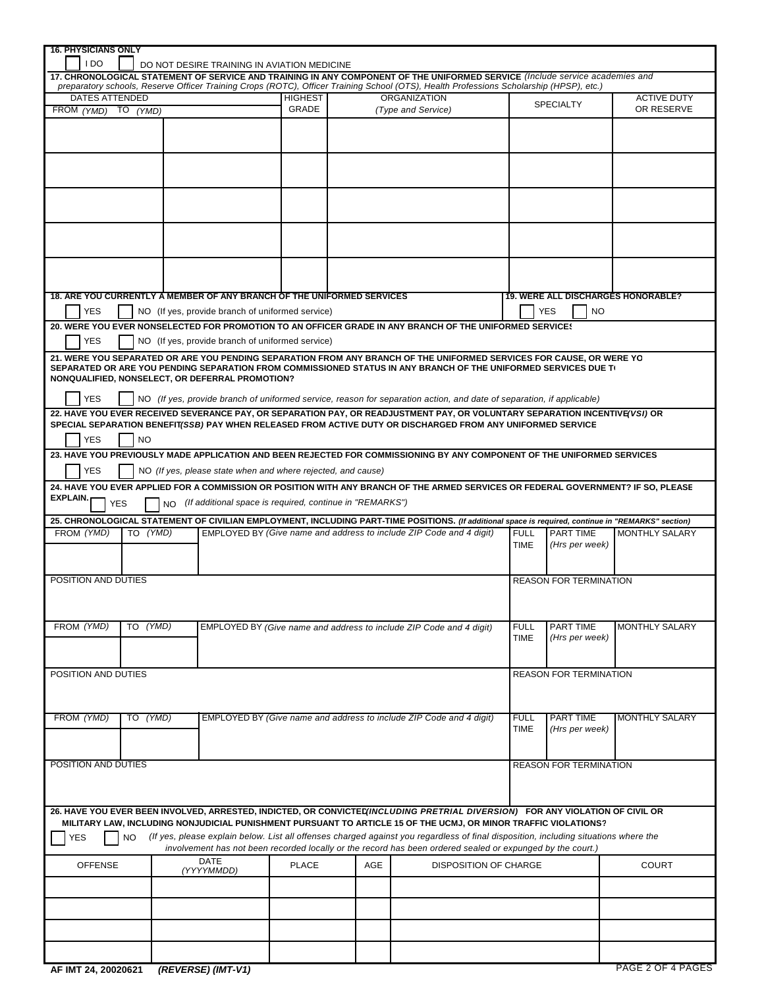| <b>16. PHYSICIANS ONLY</b>                                     |           |  |                                                                        |                |     |                                                                                                                                                     |                                           |                               |                       |  |  |  |  |
|----------------------------------------------------------------|-----------|--|------------------------------------------------------------------------|----------------|-----|-----------------------------------------------------------------------------------------------------------------------------------------------------|-------------------------------------------|-------------------------------|-----------------------|--|--|--|--|
| I DO                                                           |           |  | DO NOT DESIRE TRAINING IN AVIATION MEDICINE                            |                |     |                                                                                                                                                     |                                           |                               |                       |  |  |  |  |
|                                                                |           |  |                                                                        |                |     | 17. CHRONOLOGICAL STATEMENT OF SERVICE AND TRAINING IN ANY COMPONENT OF THE UNIFORMED SERVICE (Include service academies and                        |                                           |                               |                       |  |  |  |  |
|                                                                |           |  |                                                                        |                |     | preparatory schools, Reserve Officer Training Crops (ROTC), Officer Training School (OTS), Health Professions Scholarship (HPSP), etc.)             |                                           |                               |                       |  |  |  |  |
| <b>DATES ATTENDED</b>                                          |           |  |                                                                        | <b>HIGHEST</b> |     | <b>ORGANIZATION</b>                                                                                                                                 |                                           |                               | <b>ACTIVE DUTY</b>    |  |  |  |  |
| FROM (YMD) TO (YMD)                                            |           |  |                                                                        | GRADE          |     | (Type and Service)                                                                                                                                  |                                           | <b>SPECIALTY</b>              | OR RESERVE            |  |  |  |  |
|                                                                |           |  |                                                                        |                |     |                                                                                                                                                     |                                           |                               |                       |  |  |  |  |
|                                                                |           |  |                                                                        |                |     |                                                                                                                                                     |                                           |                               |                       |  |  |  |  |
|                                                                |           |  |                                                                        |                |     |                                                                                                                                                     |                                           |                               |                       |  |  |  |  |
|                                                                |           |  |                                                                        |                |     |                                                                                                                                                     |                                           |                               |                       |  |  |  |  |
|                                                                |           |  |                                                                        |                |     |                                                                                                                                                     |                                           |                               |                       |  |  |  |  |
|                                                                |           |  |                                                                        |                |     |                                                                                                                                                     |                                           |                               |                       |  |  |  |  |
|                                                                |           |  |                                                                        |                |     |                                                                                                                                                     |                                           |                               |                       |  |  |  |  |
|                                                                |           |  |                                                                        |                |     |                                                                                                                                                     |                                           |                               |                       |  |  |  |  |
|                                                                |           |  |                                                                        |                |     |                                                                                                                                                     |                                           |                               |                       |  |  |  |  |
|                                                                |           |  |                                                                        |                |     |                                                                                                                                                     |                                           |                               |                       |  |  |  |  |
|                                                                |           |  |                                                                        |                |     |                                                                                                                                                     |                                           |                               |                       |  |  |  |  |
|                                                                |           |  |                                                                        |                |     |                                                                                                                                                     |                                           |                               |                       |  |  |  |  |
|                                                                |           |  |                                                                        |                |     |                                                                                                                                                     |                                           |                               |                       |  |  |  |  |
|                                                                |           |  |                                                                        |                |     |                                                                                                                                                     |                                           |                               |                       |  |  |  |  |
|                                                                |           |  |                                                                        |                |     |                                                                                                                                                     |                                           |                               |                       |  |  |  |  |
|                                                                |           |  | 18. ARE YOU CURRENTLY A MEMBER OF ANY BRANCH OF THE UNIFORMED SERVICES |                |     |                                                                                                                                                     |                                           |                               |                       |  |  |  |  |
|                                                                |           |  |                                                                        |                |     |                                                                                                                                                     | <b>19. WERE ALL DISCHARGES HONORABLE?</b> |                               |                       |  |  |  |  |
| <b>YES</b><br>NO (If yes, provide branch of uniformed service) |           |  |                                                                        |                |     |                                                                                                                                                     |                                           | <b>YES</b><br><b>NO</b>       |                       |  |  |  |  |
|                                                                |           |  |                                                                        |                |     | 20. WERE YOU EVER NONSELECTED FOR PROMOTION TO AN OFFICER GRADE IN ANY BRANCH OF THE UNIFORMED SERVICE!                                             |                                           |                               |                       |  |  |  |  |
|                                                                |           |  |                                                                        |                |     |                                                                                                                                                     |                                           |                               |                       |  |  |  |  |
| <b>YES</b>                                                     |           |  | NO (If yes, provide branch of uniformed service)                       |                |     |                                                                                                                                                     |                                           |                               |                       |  |  |  |  |
|                                                                |           |  |                                                                        |                |     | 21. WERE YOU SEPARATED OR ARE YOU PENDING SEPARATION FROM ANY BRANCH OF THE UNIFORMED SERVICES FOR CAUSE, OR WERE YO                                |                                           |                               |                       |  |  |  |  |
|                                                                |           |  |                                                                        |                |     | SEPARATED OR ARE YOU PENDING SEPARATION FROM COMMISSIONED STATUS IN ANY BRANCH OF THE UNIFORMED SERVICES DUE T                                      |                                           |                               |                       |  |  |  |  |
|                                                                |           |  | NONQUALIFIED, NONSELECT, OR DEFERRAL PROMOTION?                        |                |     |                                                                                                                                                     |                                           |                               |                       |  |  |  |  |
|                                                                |           |  |                                                                        |                |     |                                                                                                                                                     |                                           |                               |                       |  |  |  |  |
| <b>YES</b>                                                     |           |  |                                                                        |                |     | NO (If yes, provide branch of uniformed service, reason for separation action, and date of separation, if applicable)                               |                                           |                               |                       |  |  |  |  |
|                                                                |           |  |                                                                        |                |     | 22. HAVE YOU EVER RECEIVED SEVERANCE PAY, OR SEPARATION PAY, OR READJUSTMENT PAY, OR VOLUNTARY SEPARATION INCENTIVE(VSI) OR                         |                                           |                               |                       |  |  |  |  |
|                                                                |           |  |                                                                        |                |     | SPECIAL SEPARATION BENEFIT(SSB) PAY WHEN RELEASED FROM ACTIVE DUTY OR DISCHARGED FROM ANY UNIFORMED SERVICE                                         |                                           |                               |                       |  |  |  |  |
| <b>YES</b>                                                     | <b>NO</b> |  |                                                                        |                |     |                                                                                                                                                     |                                           |                               |                       |  |  |  |  |
|                                                                |           |  |                                                                        |                |     |                                                                                                                                                     |                                           |                               |                       |  |  |  |  |
|                                                                |           |  |                                                                        |                |     | 23. HAVE YOU PREVIOUSLY MADE APPLICATION AND BEEN REJECTED FOR COMMISSIONING BY ANY COMPONENT OF THE UNIFORMED SERVICES                             |                                           |                               |                       |  |  |  |  |
| <b>YES</b>                                                     |           |  | NO (If yes, please state when and where rejected, and cause)           |                |     |                                                                                                                                                     |                                           |                               |                       |  |  |  |  |
|                                                                |           |  |                                                                        |                |     | 24. HAVE YOU EVER APPLIED FOR A COMMISSION OR POSITION WITH ANY BRANCH OF THE ARMED SERVICES OR FEDERAL GOVERNMENT? IF SO, PLEASE                   |                                           |                               |                       |  |  |  |  |
| EXPLAIN.                                                       |           |  |                                                                        |                |     |                                                                                                                                                     |                                           |                               |                       |  |  |  |  |
|                                                                |           |  | NO (If additional space is required, continue in "REMARKS")            |                |     |                                                                                                                                                     |                                           |                               |                       |  |  |  |  |
| <b>YES</b>                                                     |           |  |                                                                        |                |     |                                                                                                                                                     |                                           |                               |                       |  |  |  |  |
|                                                                |           |  |                                                                        |                |     |                                                                                                                                                     |                                           |                               |                       |  |  |  |  |
|                                                                |           |  |                                                                        |                |     | 25. CHRONOLOGICAL STATEMENT OF CIVILIAN EMPLOYMENT, INCLUDING PART-TIME POSITIONS. (If additional space is required, continue in "REMARKS" section) |                                           |                               |                       |  |  |  |  |
| FROM (YMD)                                                     | TO (YMD)  |  |                                                                        |                |     | EMPLOYED BY (Give name and address to include ZIP Code and 4 digit)                                                                                 | <b>FULL</b>                               | PART TIME                     | MONTHLY SALARY        |  |  |  |  |
|                                                                |           |  |                                                                        |                |     |                                                                                                                                                     | <b>TIME</b>                               | (Hrs per week)                |                       |  |  |  |  |
|                                                                |           |  |                                                                        |                |     |                                                                                                                                                     |                                           |                               |                       |  |  |  |  |
|                                                                |           |  |                                                                        |                |     |                                                                                                                                                     |                                           |                               |                       |  |  |  |  |
| POSITION AND DUTIES                                            |           |  |                                                                        |                |     |                                                                                                                                                     |                                           | <b>REASON FOR TERMINATION</b> |                       |  |  |  |  |
|                                                                |           |  |                                                                        |                |     |                                                                                                                                                     |                                           |                               |                       |  |  |  |  |
|                                                                |           |  |                                                                        |                |     |                                                                                                                                                     |                                           |                               |                       |  |  |  |  |
|                                                                |           |  |                                                                        |                |     |                                                                                                                                                     |                                           |                               |                       |  |  |  |  |
| FROM (YMD)                                                     | TO (YMD)  |  |                                                                        |                |     | EMPLOYED BY (Give name and address to include ZIP Code and 4 digit)                                                                                 | <b>FULL</b>                               | PART TIME                     | <b>MONTHLY SALARY</b> |  |  |  |  |
|                                                                |           |  |                                                                        |                |     |                                                                                                                                                     | <b>TIME</b>                               | (Hrs per week)                |                       |  |  |  |  |
|                                                                |           |  |                                                                        |                |     |                                                                                                                                                     |                                           |                               |                       |  |  |  |  |
|                                                                |           |  |                                                                        |                |     |                                                                                                                                                     |                                           |                               |                       |  |  |  |  |
| POSITION AND DUTIES                                            |           |  |                                                                        |                |     |                                                                                                                                                     |                                           | REASON FOR TERMINATION        |                       |  |  |  |  |
|                                                                |           |  |                                                                        |                |     |                                                                                                                                                     |                                           |                               |                       |  |  |  |  |
|                                                                |           |  |                                                                        |                |     |                                                                                                                                                     |                                           |                               |                       |  |  |  |  |
|                                                                |           |  |                                                                        |                |     |                                                                                                                                                     |                                           |                               |                       |  |  |  |  |
| FROM (YMD)                                                     | TO (YMD)  |  |                                                                        |                |     | EMPLOYED BY (Give name and address to include ZIP Code and 4 digit)                                                                                 | <b>FULL</b>                               | <b>PART TIME</b>              | <b>MONTHLY SALARY</b> |  |  |  |  |
|                                                                |           |  |                                                                        |                |     |                                                                                                                                                     | <b>TIME</b>                               | (Hrs per week)                |                       |  |  |  |  |
|                                                                |           |  |                                                                        |                |     |                                                                                                                                                     |                                           |                               |                       |  |  |  |  |
|                                                                |           |  |                                                                        |                |     |                                                                                                                                                     |                                           |                               |                       |  |  |  |  |
| POSITION AND DUTIES                                            |           |  |                                                                        |                |     |                                                                                                                                                     |                                           | <b>REASON FOR TERMINATION</b> |                       |  |  |  |  |
|                                                                |           |  |                                                                        |                |     |                                                                                                                                                     |                                           |                               |                       |  |  |  |  |
|                                                                |           |  |                                                                        |                |     |                                                                                                                                                     |                                           |                               |                       |  |  |  |  |
|                                                                |           |  |                                                                        |                |     |                                                                                                                                                     |                                           |                               |                       |  |  |  |  |
|                                                                |           |  |                                                                        |                |     | 26. HAVE YOU EVER BEEN INVOLVED, ARRESTED, INDICTED, OR CONVICTED(INCLUDING PRETRIAL DIVERSION) FOR ANY VIOLATION OF CIVIL OR                       |                                           |                               |                       |  |  |  |  |
|                                                                |           |  |                                                                        |                |     | MILITARY LAW, INCLUDING NONJUDICIAL PUNISHMENT PURSUANT TO ARTICLE 15 OF THE UCMJ, OR MINOR TRAFFIC VIOLATIONS?                                     |                                           |                               |                       |  |  |  |  |
|                                                                |           |  |                                                                        |                |     |                                                                                                                                                     |                                           |                               |                       |  |  |  |  |
| <b>YES</b>                                                     | NO        |  |                                                                        |                |     | (If yes, please explain below. List all offenses charged against you regardless of final disposition, including situations where the                |                                           |                               |                       |  |  |  |  |
|                                                                |           |  |                                                                        |                |     | involvement has not been recorded locally or the record has been ordered sealed or expunged by the court.)                                          |                                           |                               |                       |  |  |  |  |
| <b>OFFENSE</b>                                                 |           |  | <b>DATE</b>                                                            | <b>PLACE</b>   | AGE | <b>DISPOSITION OF CHARGE</b>                                                                                                                        |                                           |                               | <b>COURT</b>          |  |  |  |  |
|                                                                |           |  | (YYYYMMDD)                                                             |                |     |                                                                                                                                                     |                                           |                               |                       |  |  |  |  |
|                                                                |           |  |                                                                        |                |     |                                                                                                                                                     |                                           |                               |                       |  |  |  |  |
|                                                                |           |  |                                                                        |                |     |                                                                                                                                                     |                                           |                               |                       |  |  |  |  |
|                                                                |           |  |                                                                        |                |     |                                                                                                                                                     |                                           |                               |                       |  |  |  |  |
|                                                                |           |  |                                                                        |                |     |                                                                                                                                                     |                                           |                               |                       |  |  |  |  |
|                                                                |           |  |                                                                        |                |     |                                                                                                                                                     |                                           |                               |                       |  |  |  |  |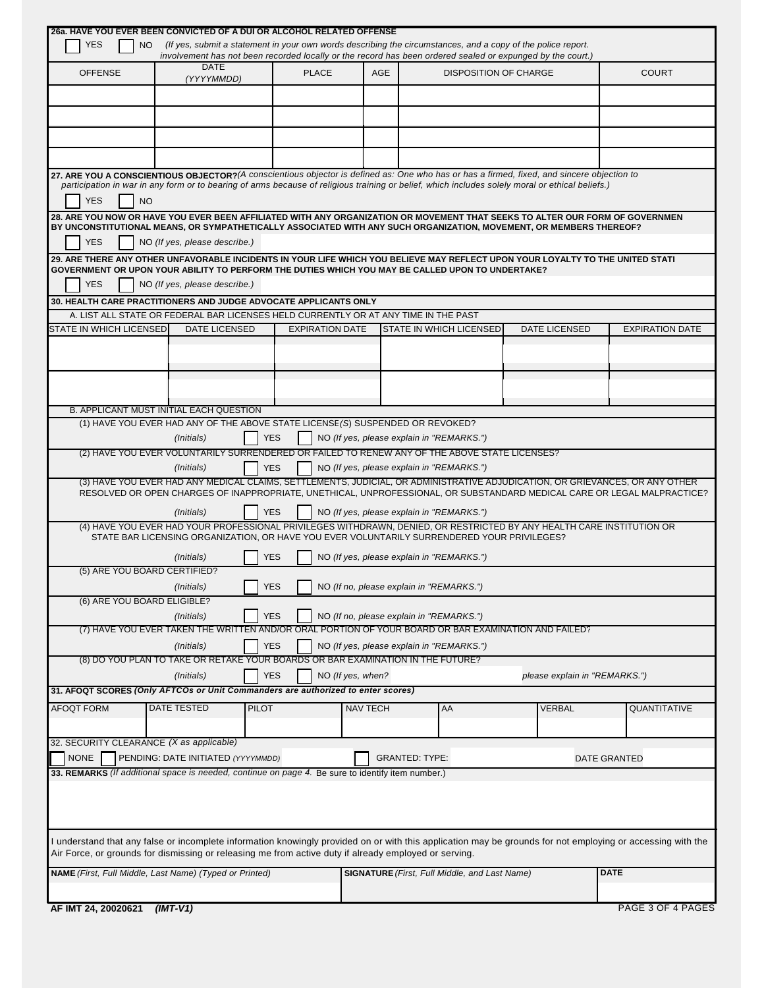|                                          | 26a. HAVE YOU EVER BEEN CONVICTED OF A DUI OR ALCOHOL RELATED OFFENSE                                                                                                                                                                                                                           |                                          |                       |                                                      |                               |                        |
|------------------------------------------|-------------------------------------------------------------------------------------------------------------------------------------------------------------------------------------------------------------------------------------------------------------------------------------------------|------------------------------------------|-----------------------|------------------------------------------------------|-------------------------------|------------------------|
| <b>YES</b><br>NO.                        | (If yes, submit a statement in your own words describing the circumstances, and a copy of the police report.                                                                                                                                                                                    |                                          |                       |                                                      |                               |                        |
|                                          | involvement has not been recorded locally or the record has been ordered sealed or expunged by the court.)<br><b>DATE</b>                                                                                                                                                                       |                                          |                       |                                                      |                               |                        |
| <b>OFFENSE</b>                           | (YYYYMMDD)                                                                                                                                                                                                                                                                                      | <b>PLACE</b>                             | AGE                   | <b>DISPOSITION OF CHARGE</b>                         |                               | <b>COURT</b>           |
|                                          |                                                                                                                                                                                                                                                                                                 |                                          |                       |                                                      |                               |                        |
|                                          |                                                                                                                                                                                                                                                                                                 |                                          |                       |                                                      |                               |                        |
|                                          |                                                                                                                                                                                                                                                                                                 |                                          |                       |                                                      |                               |                        |
|                                          |                                                                                                                                                                                                                                                                                                 |                                          |                       |                                                      |                               |                        |
|                                          |                                                                                                                                                                                                                                                                                                 |                                          |                       |                                                      |                               |                        |
|                                          |                                                                                                                                                                                                                                                                                                 |                                          |                       |                                                      |                               |                        |
|                                          | 27. ARE YOU A CONSCIENTIOUS OBJECTOR? (A conscientious objector is defined as: One who has or has a firmed, fixed, and sincere objection to<br>participation in war in any form or to bearing of arms because of religious training or belief, which includes solely moral or ethical beliefs.) |                                          |                       |                                                      |                               |                        |
| <b>YES</b><br><b>NO</b>                  |                                                                                                                                                                                                                                                                                                 |                                          |                       |                                                      |                               |                        |
|                                          | 28. ARE YOU NOW OR HAVE YOU EVER BEEN AFFILIATED WITH ANY ORGANIZATION OR MOVEMENT THAT SEEKS TO ALTER OUR FORM OF GOVERNMEN                                                                                                                                                                    |                                          |                       |                                                      |                               |                        |
|                                          | BY UNCONSTITUTIONAL MEANS, OR SYMPATHETICALLY ASSOCIATED WITH ANY SUCH ORGANIZATION, MOVEMENT, OR MEMBERS THEREOF?                                                                                                                                                                              |                                          |                       |                                                      |                               |                        |
| <b>YES</b>                               | NO (If yes, please describe.)                                                                                                                                                                                                                                                                   |                                          |                       |                                                      |                               |                        |
|                                          | 29. ARE THERE ANY OTHER UNFAVORABLE INCIDENTS IN YOUR LIFE WHICH YOU BELIEVE MAY REFLECT UPON YOUR LOYALTY TO THE UNITED STATI                                                                                                                                                                  |                                          |                       |                                                      |                               |                        |
|                                          | GOVERNMENT OR UPON YOUR ABILITY TO PERFORM THE DUTIES WHICH YOU MAY BE CALLED UPON TO UNDERTAKE?                                                                                                                                                                                                |                                          |                       |                                                      |                               |                        |
| <b>YES</b>                               | NO (If yes, please describe.)                                                                                                                                                                                                                                                                   |                                          |                       |                                                      |                               |                        |
|                                          | 30. HEALTH CARE PRACTITIONERS AND JUDGE ADVOCATE APPLICANTS ONLY                                                                                                                                                                                                                                |                                          |                       |                                                      |                               |                        |
|                                          | A. LIST ALL STATE OR FEDERAL BAR LICENSES HELD CURRENTLY OR AT ANY TIME IN THE PAST                                                                                                                                                                                                             |                                          |                       |                                                      |                               |                        |
| STATE IN WHICH LICENSED                  | <b>DATE LICENSED</b>                                                                                                                                                                                                                                                                            | <b>EXPIRATION DATE</b>                   |                       | STATE IN WHICH LICENSED                              | <b>DATE LICENSED</b>          | <b>EXPIRATION DATE</b> |
|                                          |                                                                                                                                                                                                                                                                                                 |                                          |                       |                                                      |                               |                        |
|                                          |                                                                                                                                                                                                                                                                                                 |                                          |                       |                                                      |                               |                        |
|                                          |                                                                                                                                                                                                                                                                                                 |                                          |                       |                                                      |                               |                        |
|                                          |                                                                                                                                                                                                                                                                                                 |                                          |                       |                                                      |                               |                        |
|                                          | B. APPLICANT MUST INITIAL EACH QUESTION                                                                                                                                                                                                                                                         |                                          |                       |                                                      |                               |                        |
|                                          | (1) HAVE YOU EVER HAD ANY OF THE ABOVE STATE LICENSE (S) SUSPENDED OR REVOKED?                                                                                                                                                                                                                  |                                          |                       |                                                      |                               |                        |
|                                          | <b>YES</b><br>(Initials)                                                                                                                                                                                                                                                                        |                                          |                       | NO (If yes, please explain in "REMARKS.")            |                               |                        |
|                                          | (2) HAVE YOU EVER VOLUNTARILY SURRENDERED OR FAILED TO RENEW ANY OF THE ABOVE STATE LICENSES?                                                                                                                                                                                                   |                                          |                       |                                                      |                               |                        |
|                                          | <b>YES</b><br>(Initials)                                                                                                                                                                                                                                                                        |                                          |                       | NO (If yes, please explain in "REMARKS.")            |                               |                        |
|                                          | (3) HAVE YOU EVER HAD ANY MEDICAL CLAIMS, SETTLEMENTS, JUDICIAL, OR ADMINISTRATIVE ADJUDICATION, OR GRIEVANCES, OR ANY OTHER                                                                                                                                                                    |                                          |                       |                                                      |                               |                        |
|                                          | RESOLVED OR OPEN CHARGES OF INAPPROPRIATE, UNETHICAL, UNPROFESSIONAL, OR SUBSTANDARD MEDICAL CARE OR LEGAL MALPRACTICE?                                                                                                                                                                         |                                          |                       |                                                      |                               |                        |
|                                          | <b>YES</b><br>(Initials)                                                                                                                                                                                                                                                                        |                                          |                       | NO (If yes, please explain in "REMARKS.")            |                               |                        |
|                                          | (4) HAVE YOU EVER HAD YOUR PROFESSIONAL PRIVILEGES WITHDRAWN, DENIED, OR RESTRICTED BY ANY HEALTH CARE INSTITUTION OR                                                                                                                                                                           |                                          |                       |                                                      |                               |                        |
|                                          | STATE BAR LICENSING ORGANIZATION, OR HAVE YOU EVER VOLUNTARILY SURRENDERED YOUR PRIVILEGES?                                                                                                                                                                                                     |                                          |                       |                                                      |                               |                        |
|                                          | <b>YES</b><br>(Initials)                                                                                                                                                                                                                                                                        |                                          |                       | NO (If yes, please explain in "REMARKS.")            |                               |                        |
| (5) ARE YOU BOARD CERTIFIED?             |                                                                                                                                                                                                                                                                                                 |                                          |                       |                                                      |                               |                        |
|                                          | YES<br>(Initials)                                                                                                                                                                                                                                                                               | NO (If no, please explain in "REMARKS.") |                       |                                                      |                               |                        |
| (6) ARE YOU BOARD ELIGIBLE?              |                                                                                                                                                                                                                                                                                                 |                                          |                       |                                                      |                               |                        |
|                                          | <b>YES</b><br>(Initials)                                                                                                                                                                                                                                                                        |                                          |                       | NO (If no, please explain in "REMARKS.")             |                               |                        |
|                                          | (7) HAVE YOU EVER TAKEN THE WRITTEN AND/OR ORAL PORTION OF YOUR BOARD OR BAR EXAMINATION AND FAILED?                                                                                                                                                                                            |                                          |                       |                                                      |                               |                        |
|                                          | (Initials)<br><b>YES</b>                                                                                                                                                                                                                                                                        |                                          |                       | NO (If yes, please explain in "REMARKS.")            |                               |                        |
|                                          | (8) DO YOU PLAN TO TAKE OR RETAKE YOUR BOARDS OR BAR EXAMINATION IN THE FUTURE?                                                                                                                                                                                                                 |                                          |                       |                                                      |                               |                        |
|                                          | <b>YES</b><br>(Initials)                                                                                                                                                                                                                                                                        | NO (If yes, when?                        |                       |                                                      | please explain in "REMARKS.") |                        |
|                                          | 31. AFOQT SCORES (Only AFTCOs or Unit Commanders are authorized to enter scores)                                                                                                                                                                                                                |                                          |                       |                                                      |                               |                        |
|                                          | DATE TESTED                                                                                                                                                                                                                                                                                     |                                          |                       |                                                      |                               |                        |
| <b>AFOQT FORM</b>                        | <b>PILOT</b>                                                                                                                                                                                                                                                                                    |                                          | <b>NAV TECH</b>       | AA                                                   | <b>VERBAL</b>                 | QUANTITATIVE           |
|                                          |                                                                                                                                                                                                                                                                                                 |                                          |                       |                                                      |                               |                        |
| 32. SECURITY CLEARANCE (X as applicable) |                                                                                                                                                                                                                                                                                                 |                                          |                       |                                                      |                               |                        |
| <b>NONE</b>                              | PENDING: DATE INITIATED (YYYYMMDD)                                                                                                                                                                                                                                                              |                                          | <b>GRANTED: TYPE:</b> |                                                      |                               | <b>DATE GRANTED</b>    |
|                                          | 33. REMARKS (If additional space is needed, continue on page 4. Be sure to identify item number.)                                                                                                                                                                                               |                                          |                       |                                                      |                               |                        |
|                                          |                                                                                                                                                                                                                                                                                                 |                                          |                       |                                                      |                               |                        |
|                                          |                                                                                                                                                                                                                                                                                                 |                                          |                       |                                                      |                               |                        |
|                                          |                                                                                                                                                                                                                                                                                                 |                                          |                       |                                                      |                               |                        |
|                                          |                                                                                                                                                                                                                                                                                                 |                                          |                       |                                                      |                               |                        |
|                                          | I understand that any false or incomplete information knowingly provided on or with this application may be grounds for not employing or accessing with the<br>Air Force, or grounds for dismissing or releasing me from active duty if already employed or serving.                            |                                          |                       |                                                      |                               |                        |
|                                          |                                                                                                                                                                                                                                                                                                 |                                          |                       |                                                      |                               |                        |
|                                          | NAME (First, Full Middle, Last Name) (Typed or Printed)                                                                                                                                                                                                                                         |                                          |                       | <b>SIGNATURE</b> (First, Full Middle, and Last Name) |                               | <b>DATE</b>            |
|                                          |                                                                                                                                                                                                                                                                                                 |                                          |                       |                                                      |                               |                        |
| AF IMT 24, 20020621                      | $(IMT-V1)$                                                                                                                                                                                                                                                                                      |                                          |                       |                                                      |                               | PAGE 3 OF 4 PAGES      |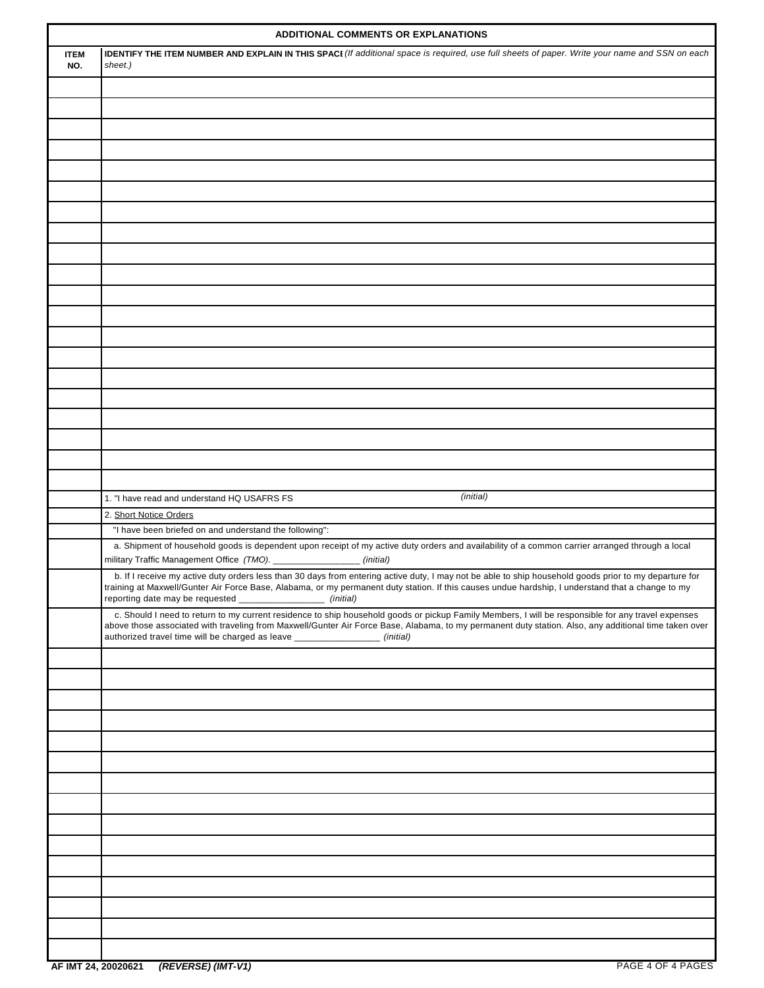|                    | <b>ADDITIONAL COMMENTS OR EXPLANATIONS</b>                                                                                                                                                                                                                                                                                                                                                |
|--------------------|-------------------------------------------------------------------------------------------------------------------------------------------------------------------------------------------------------------------------------------------------------------------------------------------------------------------------------------------------------------------------------------------|
| <b>ITEM</b><br>NO. | <b>IDENTIFY THE ITEM NUMBER AND EXPLAIN IN THIS SPACI</b> (If additional space is required, use full sheets of paper. Write your name and SSN on each<br>sheet.)                                                                                                                                                                                                                          |
|                    |                                                                                                                                                                                                                                                                                                                                                                                           |
|                    |                                                                                                                                                                                                                                                                                                                                                                                           |
|                    |                                                                                                                                                                                                                                                                                                                                                                                           |
|                    |                                                                                                                                                                                                                                                                                                                                                                                           |
|                    |                                                                                                                                                                                                                                                                                                                                                                                           |
|                    |                                                                                                                                                                                                                                                                                                                                                                                           |
|                    |                                                                                                                                                                                                                                                                                                                                                                                           |
|                    |                                                                                                                                                                                                                                                                                                                                                                                           |
|                    |                                                                                                                                                                                                                                                                                                                                                                                           |
|                    |                                                                                                                                                                                                                                                                                                                                                                                           |
|                    |                                                                                                                                                                                                                                                                                                                                                                                           |
|                    |                                                                                                                                                                                                                                                                                                                                                                                           |
|                    |                                                                                                                                                                                                                                                                                                                                                                                           |
|                    |                                                                                                                                                                                                                                                                                                                                                                                           |
|                    |                                                                                                                                                                                                                                                                                                                                                                                           |
|                    |                                                                                                                                                                                                                                                                                                                                                                                           |
|                    |                                                                                                                                                                                                                                                                                                                                                                                           |
|                    |                                                                                                                                                                                                                                                                                                                                                                                           |
|                    |                                                                                                                                                                                                                                                                                                                                                                                           |
|                    |                                                                                                                                                                                                                                                                                                                                                                                           |
|                    |                                                                                                                                                                                                                                                                                                                                                                                           |
|                    | (initial)<br>1. "I have read and understand HQ USAFRS FS                                                                                                                                                                                                                                                                                                                                  |
|                    | 2. Short Notice Orders                                                                                                                                                                                                                                                                                                                                                                    |
|                    | "I have been briefed on and understand the following":                                                                                                                                                                                                                                                                                                                                    |
|                    | a. Shipment of household goods is dependent upon receipt of my active duty orders and availability of a common carrier arranged through a local<br>military Traffic Management Office (TMO). _________________ (initial)                                                                                                                                                                  |
|                    | b. If I receive my active duty orders less than 30 days from entering active duty, I may not be able to ship household goods prior to my departure for<br>training at Maxwell/Gunter Air Force Base, Alabama, or my permanent duty station. If this causes undue hardship, I understand that a change to my<br>reporting date may be requested _<br>_________________(initial)            |
|                    | c. Should I need to return to my current residence to ship household goods or pickup Family Members, I will be responsible for any travel expenses<br>above those associated with traveling from Maxwell/Gunter Air Force Base, Alabama, to my permanent duty station. Also, any additional time taken over<br>authorized travel time will be charged as leave ________________ (initial) |
|                    |                                                                                                                                                                                                                                                                                                                                                                                           |
|                    |                                                                                                                                                                                                                                                                                                                                                                                           |
|                    |                                                                                                                                                                                                                                                                                                                                                                                           |
|                    |                                                                                                                                                                                                                                                                                                                                                                                           |
|                    |                                                                                                                                                                                                                                                                                                                                                                                           |
|                    |                                                                                                                                                                                                                                                                                                                                                                                           |
|                    |                                                                                                                                                                                                                                                                                                                                                                                           |
|                    |                                                                                                                                                                                                                                                                                                                                                                                           |
|                    |                                                                                                                                                                                                                                                                                                                                                                                           |
|                    |                                                                                                                                                                                                                                                                                                                                                                                           |
|                    |                                                                                                                                                                                                                                                                                                                                                                                           |
|                    |                                                                                                                                                                                                                                                                                                                                                                                           |
|                    |                                                                                                                                                                                                                                                                                                                                                                                           |
|                    |                                                                                                                                                                                                                                                                                                                                                                                           |
|                    |                                                                                                                                                                                                                                                                                                                                                                                           |
|                    |                                                                                                                                                                                                                                                                                                                                                                                           |